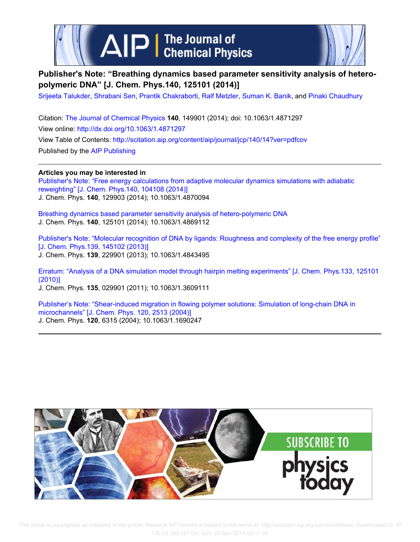



## **Publisher's Note: "Breathing dynamics based parameter sensitivity analysis of heteropolymeric DNA" [J. Chem. Phys.140, 125101 (2014)]**

Srijeeta Talukder, Shrabani Sen, Prantik Chakraborti, Ralf Metzler, Suman K. Banik, and Pinaki Chaudhury

Citation: The Journal of Chemical Physics **140**, 149901 (2014); doi: 10.1063/1.4871297 View online: http://dx.doi.org/10.1063/1.4871297 View Table of Contents: http://scitation.aip.org/content/aip/journal/jcp/140/14?ver=pdfcov Published by the AIP Publishing

**Articles you may be interested in** Publisher's Note: "Free energy calculations from adaptive molecular dynamics simulations with adiabatic reweighting" [J. Chem. Phys.140, 104108 (2014)] J. Chem. Phys. **140**, 129903 (2014); 10.1063/1.4870094

Breathing dynamics based parameter sensitivity analysis of hetero-polymeric DNA J. Chem. Phys. **140**, 125101 (2014); 10.1063/1.4869112

Publisher's Note: "Molecular recognition of DNA by ligands: Roughness and complexity of the free energy profile" [J. Chem. Phys.139, 145102 (2013)] J. Chem. Phys. **139**, 229901 (2013); 10.1063/1.4843495

Erratum: "Analysis of a DNA simulation model through hairpin melting experiments" [J. Chem. Phys.133, 125101 (2010)]

J. Chem. Phys. **135**, 029901 (2011); 10.1063/1.3609111

Publisher's Note: "Shear-induced migration in flowing polymer solutions: Simulation of long-chain DNA in microchannels" [J. Chem. Phys. 120, 2513 (2004)] J. Chem. Phys. **120**, 6315 (2004); 10.1063/1.1690247